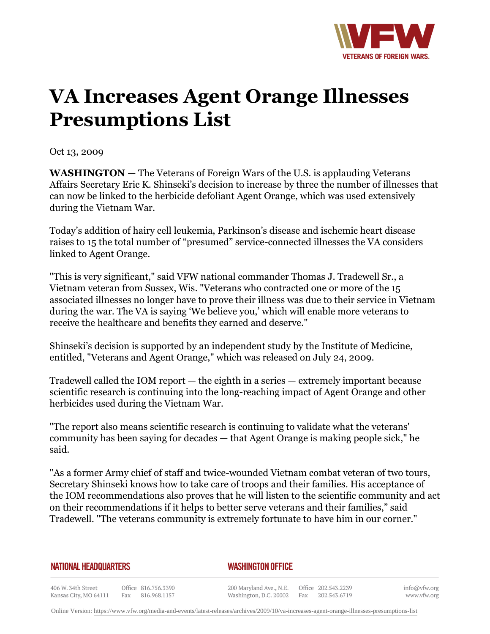

## **VA Increases Agent Orange Illnesses Presumptions List**

Oct 13, 2009

**WASHINGTON** — The Veterans of Foreign Wars of the U.S. is applauding Veterans Affairs Secretary Eric K. Shinseki's decision to increase by three the number of illnesses that can now be linked to the herbicide defoliant Agent Orange, which was used extensively during the Vietnam War.

Today's addition of hairy cell leukemia, Parkinson's disease and ischemic heart disease raises to 15 the total number of "presumed" service-connected illnesses the VA considers linked to Agent Orange.

"This is very significant," said VFW national commander Thomas J. Tradewell Sr., a Vietnam veteran from Sussex, Wis. "Veterans who contracted one or more of the 15 associated illnesses no longer have to prove their illness was due to their service in Vietnam during the war. The VA is saying 'We believe you,' which will enable more veterans to receive the healthcare and benefits they earned and deserve."

Shinseki's decision is supported by an independent study by the Institute of Medicine, entitled, "Veterans and Agent Orange," which was released on July 24, 2009.

Tradewell called the IOM report — the eighth in a series — extremely important because scientific research is continuing into the long-reaching impact of Agent Orange and other herbicides used during the Vietnam War.

"The report also means scientific research is continuing to validate what the veterans' community has been saying for decades — that Agent Orange is making people sick," he said.

"As a former Army chief of staff and twice-wounded Vietnam combat veteran of two tours, Secretary Shinseki knows how to take care of troops and their families. His acceptance of the IOM recommendations also proves that he will listen to the scientific community and act on their recommendations if it helps to better serve veterans and their families," said Tradewell. "The veterans community is extremely fortunate to have him in our corner."

## **NATIONAL HEADQUARTERS**

## *WASHINGTON OFFICE*

406 W. 34th Street Office 816.756.3390 Kansas City, MO 64111 Fax 816.968.1157

200 Maryland Ave., N.E. Washington, D.C. 20002

Office 202.543.2239 Fax 202.543.6719

info@vfw.org www.vfw.org

Online Version:<https://www.vfw.org/media-and-events/latest-releases/archives/2009/10/va-increases-agent-orange-illnesses-presumptions-list>